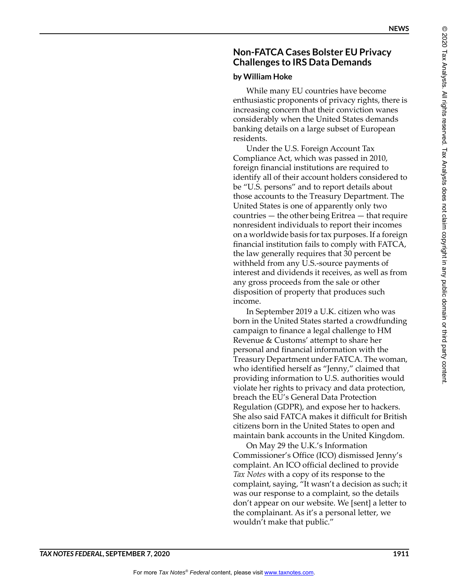# **Non-FATCA Cases Bolster EU Privacy Challenges to IRS Data Demands**

## **by William Hoke**

While many EU countries have become enthusiastic proponents of privacy rights, there is increasing concern that their conviction wanes considerably when the United States demands banking details on a large subset of European residents.

Under the U.S. Foreign Account Tax Compliance Act, which was passed in 2010, foreign financial institutions are required to identify all of their account holders considered to be "U.S. persons" and to report details about those accounts to the Treasury Department. The United States is one of apparently only two countries — the other being Eritrea — that require nonresident individuals to report their incomes on a worldwide basis for tax purposes. If a foreign financial institution fails to comply with FATCA, the law generally requires that 30 percent be withheld from any U.S.-source payments of interest and dividends it receives, as well as from any gross proceeds from the sale or other disposition of property that produces such income.

In September 2019 a U.K. citizen who was born in the United States started a crowdfunding campaign to finance a legal challenge to HM Revenue & Customs' attempt to share her personal and financial information with the Treasury Department under FATCA. The woman, who identified herself as "Jenny," claimed that providing information to U.S. authorities would violate her rights to privacy and data protection, breach the EU's General Data Protection Regulation (GDPR), and expose her to hackers. She also said FATCA makes it difficult for British citizens born in the United States to open and maintain bank accounts in the United Kingdom.

On May 29 the U.K.'s Information Commissioner's Office (ICO) dismissed Jenny's complaint. An ICO official declined to provide *Tax Notes* with a copy of its response to the complaint, saying, "It wasn't a decision as such; it was our response to a complaint, so the details don't appear on our website. We [sent] a letter to the complainant. As it's a personal letter, we wouldn't make that public."

 $^{\circ}$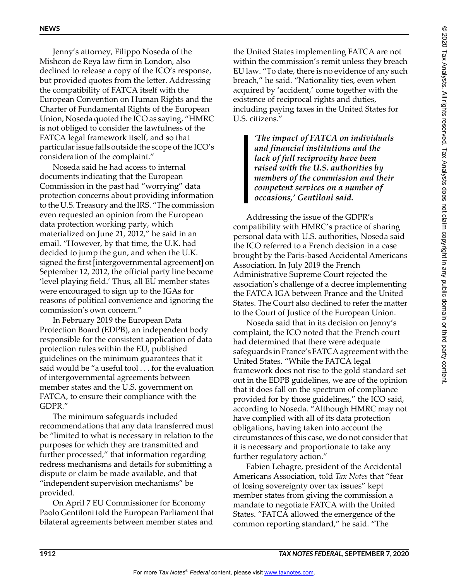Jenny's attorney, Filippo Noseda of the Mishcon de Reya law firm in London, also declined to release a copy of the ICO's response, but provided quotes from the letter. Addressing the compatibility of FATCA itself with the European Convention on Human Rights and the Charter of Fundamental Rights of the European Union, Noseda quoted the ICO as saying, "HMRC is not obliged to consider the lawfulness of the FATCA legal framework itself, and so that particular issue falls outside the scope of the ICO's consideration of the complaint."

Noseda said he had access to internal documents indicating that the European Commission in the past had "worrying" data protection concerns about providing information to the U.S. Treasury and the IRS. "The commission even requested an opinion from the European data protection working party, which materialized on June 21, 2012," he said in an email. "However, by that time, the U.K. had decided to jump the gun, and when the U.K. signed the first [intergovernmental agreement] on September 12, 2012, the official party line became 'level playing field.' Thus, all EU member states were encouraged to sign up to the IGAs for reasons of political convenience and ignoring the commission's own concern."

In February 2019 the European Data Protection Board (EDPB), an independent body responsible for the consistent application of data protection rules within the EU, published guidelines on the minimum guarantees that it said would be "a useful tool . . . for the evaluation of intergovernmental agreements between member states and the U.S. government on FATCA, to ensure their compliance with the GDPR."

The minimum safeguards included recommendations that any data transferred must be "limited to what is necessary in relation to the purposes for which they are transmitted and further processed," that information regarding redress mechanisms and details for submitting a dispute or claim be made available, and that "independent supervision mechanisms" be provided.

On April 7 EU Commissioner for Economy Paolo Gentiloni told the European Parliament that bilateral agreements between member states and

the United States implementing FATCA are not within the commission's remit unless they breach EU law. "To date, there is no evidence of any such breach," he said. "Nationality ties, even when acquired by 'accident,' come together with the existence of reciprocal rights and duties, including paying taxes in the United States for U.S. citizens."

> *'The impact of FATCA on individuals and financial institutions and the lack of full reciprocity have been raised with the U.S. authorities by members of the commission and their competent services on a number of occasions,' Gentiloni said.*

Addressing the issue of the GDPR's compatibility with HMRC's practice of sharing personal data with U.S. authorities, Noseda said the ICO referred to a French decision in a case brought by the Paris-based Accidental Americans Association. In July 2019 the French Administrative Supreme Court rejected the association's challenge of a decree implementing the FATCA IGA between France and the United States. The Court also declined to refer the matter to the Court of Justice of the European Union.

Noseda said that in its decision on Jenny's complaint, the ICO noted that the French court had determined that there were adequate safeguards in France's FATCA agreement with the United States. "While the FATCA legal framework does not rise to the gold standard set out in the EDPB guidelines, we are of the opinion that it does fall on the spectrum of compliance provided for by those guidelines," the ICO said, according to Noseda. "Although HMRC may not have complied with all of its data protection obligations, having taken into account the circumstances of this case, we do not consider that it is necessary and proportionate to take any further regulatory action."

Fabien Lehagre, president of the Accidental Americans Association, told *Tax Notes* that "fear of losing sovereignty over tax issues" kept member states from giving the commission a mandate to negotiate FATCA with the United States. "FATCA allowed the emergence of the common reporting standard," he said. "The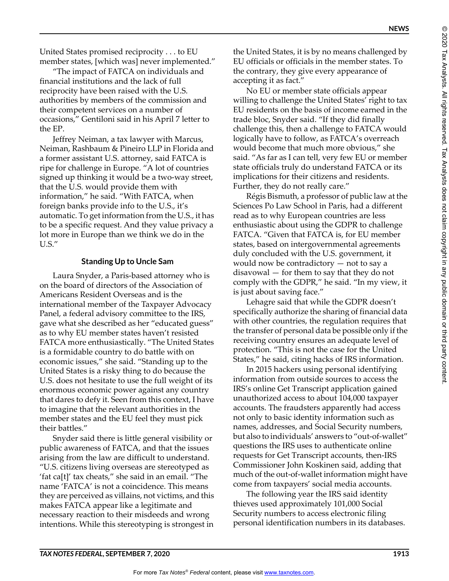© 2020 Tax Analysts. All rights reserved. Tax Analysts does not claim copyright in any public domain or third party content.

© 2020 Tax Analysts. All rights reserved. Tax Analysts does not claim copyright in any public domain or third party content

United States promised reciprocity . . . to EU member states, [which was] never implemented."

"The impact of FATCA on individuals and financial institutions and the lack of full reciprocity have been raised with the U.S. authorities by members of the commission and their competent services on a number of occasions," Gentiloni said in his April 7 letter to the EP.

Jeffrey Neiman, a tax lawyer with Marcus, Neiman, Rashbaum & Pineiro LLP in Florida and a former assistant U.S. attorney, said FATCA is ripe for challenge in Europe. "A lot of countries signed up thinking it would be a two-way street, that the U.S. would provide them with information," he said. "With FATCA, when foreign banks provide info to the U.S., it's automatic. To get information from the U.S., it has to be a specific request. And they value privacy a lot more in Europe than we think we do in the U.S."

#### **Standing Up to Uncle Sam**

Laura Snyder, a Paris-based attorney who is on the board of directors of the Association of Americans Resident Overseas and is the international member of the Taxpayer Advocacy Panel, a federal advisory committee to the IRS, gave what she described as her "educated guess" as to why EU member states haven't resisted FATCA more enthusiastically. "The United States is a formidable country to do battle with on economic issues," she said. "Standing up to the United States is a risky thing to do because the U.S. does not hesitate to use the full weight of its enormous economic power against any country that dares to defy it. Seen from this context, I have to imagine that the relevant authorities in the member states and the EU feel they must pick their battles."

Snyder said there is little general visibility or public awareness of FATCA, and that the issues arising from the law are difficult to understand. "U.S. citizens living overseas are stereotyped as 'fat ca[t]' tax cheats," she said in an email. "The name 'FATCA' is not a coincidence. This means they are perceived as villains, not victims, and this makes FATCA appear like a legitimate and necessary reaction to their misdeeds and wrong intentions. While this stereotyping is strongest in

the United States, it is by no means challenged by EU officials or officials in the member states. To the contrary, they give every appearance of accepting it as fact."

No EU or member state officials appear willing to challenge the United States' right to tax EU residents on the basis of income earned in the trade bloc, Snyder said. "If they did finally challenge this, then a challenge to FATCA would logically have to follow, as FATCA's overreach would become that much more obvious," she said. "As far as I can tell, very few EU or member state officials truly do understand FATCA or its implications for their citizens and residents. Further, they do not really care."

Régis Bismuth, a professor of public law at the Sciences Po Law School in Paris, had a different read as to why European countries are less enthusiastic about using the GDPR to challenge FATCA. "Given that FATCA is, for EU member states, based on intergovernmental agreements duly concluded with the U.S. government, it would now be contradictory — not to say a disavowal — for them to say that they do not comply with the GDPR," he said. "In my view, it is just about saving face."

Lehagre said that while the GDPR doesn't specifically authorize the sharing of financial data with other countries, the regulation requires that the transfer of personal data be possible only if the receiving country ensures an adequate level of protection. "This is not the case for the United States," he said, citing hacks of IRS information.

In 2015 hackers using personal identifying information from outside sources to access the IRS's online Get Transcript application gained unauthorized access to about 104,000 taxpayer accounts. The fraudsters apparently had access not only to basic identity information such as names, addresses, and Social Security numbers, but also to individuals' answers to "out-of-wallet" questions the IRS uses to authenticate online requests for Get Transcript accounts, then-IRS Commissioner John Koskinen said, adding that much of the out-of-wallet information might have come from taxpayers' social media accounts.

The following year the IRS said identity thieves used approximately 101,000 Social Security numbers to access electronic filing personal identification numbers in its databases.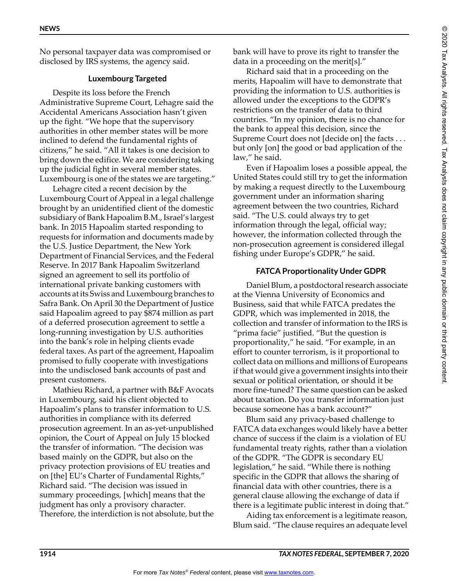No personal taxpayer data was compromised or disclosed by IRS systems, the agency said.

### **Luxembourg Targeted**

Despite its loss before the French Administrative Supreme Court, Lehagre said the Accidental Americans Association hasn't given up the fight. "We hope that the supervisory authorities in other member states will be more inclined to defend the fundamental rights of citizens," he said. "All it takes is one decision to bring down the edifice. We are considering taking up the judicial fight in several member states. Luxembourg is one of the states we are targeting."

Lehagre cited a recent decision by the Luxembourg Court of Appeal in a legal challenge brought by an unidentified client of the domestic subsidiary of Bank Hapoalim B.M., Israel's largest bank. In 2015 Hapoalim started responding to requests for information and documents made by the U.S. Justice Department, the New York Department of Financial Services, and the Federal Reserve. In 2017 Bank Hapoalim Switzerland signed an agreement to sell its portfolio of international private banking customers with accounts at its Swiss and Luxembourg branches to Safra Bank. On April 30 the Department of Justice said Hapoalim agreed to pay \$874 million as part of a deferred prosecution agreement to settle a long-running investigation by U.S. authorities into the bank's role in helping clients evade federal taxes. As part of the agreement, Hapoalim promised to fully cooperate with investigations into the undisclosed bank accounts of past and present customers.

Mathieu Richard, a partner with B&F Avocats in Luxembourg, said his client objected to Hapoalim's plans to transfer information to U.S. authorities in compliance with its deferred prosecution agreement. In an as-yet-unpublished opinion, the Court of Appeal on July 15 blocked the transfer of information. "The decision was based mainly on the GDPR, but also on the privacy protection provisions of EU treaties and on [the] EU's Charter of Fundamental Rights," Richard said. "The decision was issued in summary proceedings, [which] means that the judgment has only a provisory character. Therefore, the interdiction is not absolute, but the bank will have to prove its right to transfer the data in a proceeding on the merit[s]."

Richard said that in a proceeding on the merits, Hapoalim will have to demonstrate that providing the information to U.S. authorities is allowed under the exceptions to the GDPR's restrictions on the transfer of data to third countries. "In my opinion, there is no chance for the bank to appeal this decision, since the Supreme Court does not [decide on] the facts . . . but only [on] the good or bad application of the law," he said.

Even if Hapoalim loses a possible appeal, the United States could still try to get the information by making a request directly to the Luxembourg government under an information sharing agreement between the two countries, Richard said. "The U.S. could always try to get information through the legal, official way; however, the information collected through the non-prosecution agreement is considered illegal fishing under Europe's GDPR," he said.

### **FATCA Proportionality Under GDPR**

Daniel Blum, a postdoctoral research associate at the Vienna University of Economics and Business, said that while FATCA predates the GDPR, which was implemented in 2018, the collection and transfer of information to the IRS is "prima facie" justified. "But the question is proportionality," he said. "For example, in an effort to counter terrorism, is it proportional to collect data on millions and millions of Europeans if that would give a government insights into their sexual or political orientation, or should it be more fine-tuned? The same question can be asked about taxation. Do you transfer information just because someone has a bank account?"

Blum said any privacy-based challenge to FATCA data exchanges would likely have a better chance of success if the claim is a violation of EU fundamental treaty rights, rather than a violation of the GDPR. "The GDPR is secondary EU legislation," he said. "While there is nothing specific in the GDPR that allows the sharing of financial data with other countries, there is a general clause allowing the exchange of data if there is a legitimate public interest in doing that."

Aiding tax enforcement is a legitimate reason, Blum said. "The clause requires an adequate level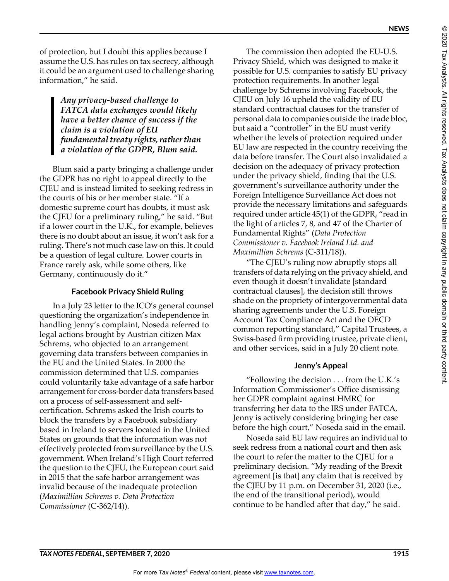of protection, but I doubt this applies because I assume the U.S. has rules on tax secrecy, although it could be an argument used to challenge sharing information," he said.

> *Any privacy-based challenge to FATCA data exchanges would likely have a better chance of success if the claim is a violation of EU fundamental treaty rights, rather than a violation of the GDPR, Blum said.*

Blum said a party bringing a challenge under the GDPR has no right to appeal directly to the CJEU and is instead limited to seeking redress in the courts of his or her member state. "If a domestic supreme court has doubts, it must ask the CJEU for a preliminary ruling," he said. "But if a lower court in the U.K., for example, believes there is no doubt about an issue, it won't ask for a ruling. There's not much case law on this. It could be a question of legal culture. Lower courts in France rarely ask, while some others, like Germany, continuously do it."

#### **Facebook Privacy Shield Ruling**

In a July 23 letter to the ICO's general counsel questioning the organization's independence in handling Jenny's complaint, Noseda referred to legal actions brought by Austrian citizen Max Schrems, who objected to an arrangement governing data transfers between companies in the EU and the United States. In 2000 the commission determined that U.S. companies could voluntarily take advantage of a safe harbor arrangement for cross-border data transfers based on a process of self-assessment and selfcertification. Schrems asked the Irish courts to block the transfers by a Facebook subsidiary based in Ireland to servers located in the United States on grounds that the information was not effectively protected from surveillance by the U.S. government. When Ireland's High Court referred the question to the CJEU, the European court said in 2015 that the safe harbor arrangement was invalid because of the inadequate protection (*Maximillian Schrems v. Data Protection Commissioner* (C-362/14)).

The commission then adopted the EU-U.S. Privacy Shield, which was designed to make it possible for U.S. companies to satisfy EU privacy protection requirements. In another legal challenge by Schrems involving Facebook, the CJEU on July 16 upheld the validity of EU standard contractual clauses for the transfer of personal data to companies outside the trade bloc, but said a "controller" in the EU must verify whether the levels of protection required under EU law are respected in the country receiving the data before transfer. The Court also invalidated a decision on the adequacy of privacy protection under the privacy shield, finding that the U.S. government's surveillance authority under the Foreign Intelligence Surveillance Act does not provide the necessary limitations and safeguards required under article 45(1) of the GDPR, "read in the light of articles 7, 8, and 47 of the Charter of Fundamental Rights" (*Data Protection Commissioner v. Facebook Ireland Ltd. and Maximillian Schrems* (C-311/18)).

"The CJEU's ruling now abruptly stops all transfers of data relying on the privacy shield, and even though it doesn't invalidate [standard contractual clauses], the decision still throws shade on the propriety of intergovernmental data sharing agreements under the U.S. Foreign Account Tax Compliance Act and the OECD common reporting standard," Capital Trustees, a Swiss-based firm providing trustee, private client, and other services, said in a July 20 client note.

# **Jenny's Appeal**

"Following the decision . . . from the U.K.'s Information Commissioner's Office dismissing her GDPR complaint against HMRC for transferring her data to the IRS under FATCA, Jenny is actively considering bringing her case before the high court," Noseda said in the email.

Noseda said EU law requires an individual to seek redress from a national court and then ask the court to refer the matter to the CJEU for a preliminary decision. "My reading of the Brexit agreement [is that] any claim that is received by the CJEU by 11 p.m. on December 31, 2020 (i.e., the end of the transitional period), would continue to be handled after that day," he said.